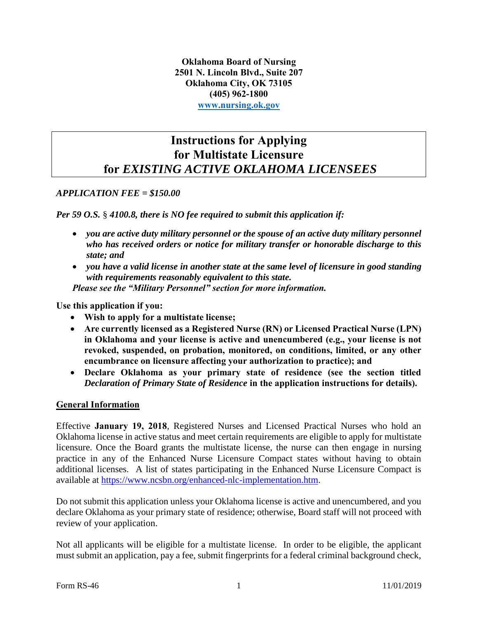**Oklahoma Board of Nursing 2501 N. Lincoln Blvd., Suite 207 Oklahoma City, OK 73105 (405) 962-1800 [www.nursing.ok.gov](http://www.ok.gov/nursing)**

## **Instructions for Applying for Multistate Licensure for** *EXISTING ACTIVE OKLAHOMA LICENSEES*

#### *APPLICATION FEE = \$150.00*

*Per 59 O.S.* § *4100.8, there is NO fee required to submit this application if:*

- *you are active duty military personnel or the spouse of an active duty military personnel who has received orders or notice for military transfer or honorable discharge to this state; and*
- *you have a valid license in another state at the same level of licensure in good standing with requirements reasonably equivalent to this state. Please see the "Military Personnel" section for more information.*

## **Use this application if you:**

- **Wish to apply for a multistate license;**
- **Are currently licensed as a Registered Nurse (RN) or Licensed Practical Nurse (LPN) in Oklahoma and your license is active and unencumbered (e.g., your license is not revoked, suspended, on probation, monitored, on conditions, limited, or any other encumbrance on licensure affecting your authorization to practice); and**
- **Declare Oklahoma as your primary state of residence (see the section titled**  *Declaration of Primary State of Residence* **in the application instructions for details).**

#### **General Information**

Effective **January 19, 2018**, Registered Nurses and Licensed Practical Nurses who hold an Oklahoma license in active status and meet certain requirements are eligible to apply for multistate licensure. Once the Board grants the multistate license, the nurse can then engage in nursing practice in any of the Enhanced Nurse Licensure Compact states without having to obtain additional licenses. A list of states participating in the Enhanced Nurse Licensure Compact is available at [https://www.ncsbn.org/enhanced-nlc-implementation.htm.](https://www.ncsbn.org/enhanced-nlc-implementation.htm)

Do not submit this application unless your Oklahoma license is active and unencumbered, and you declare Oklahoma as your primary state of residence; otherwise, Board staff will not proceed with review of your application.

Not all applicants will be eligible for a multistate license. In order to be eligible, the applicant must submit an application, pay a fee, submit fingerprints for a federal criminal background check,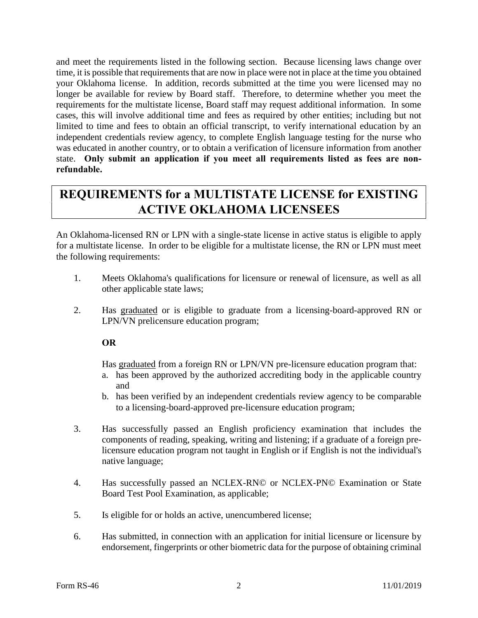and meet the requirements listed in the following section. Because licensing laws change over time, it is possible that requirements that are now in place were not in place at the time you obtained your Oklahoma license. In addition, records submitted at the time you were licensed may no longer be available for review by Board staff. Therefore, to determine whether you meet the requirements for the multistate license, Board staff may request additional information. In some cases, this will involve additional time and fees as required by other entities; including but not limited to time and fees to obtain an official transcript, to verify international education by an independent credentials review agency, to complete English language testing for the nurse who was educated in another country, or to obtain a verification of licensure information from another state. **Only submit an application if you meet all requirements listed as fees are nonrefundable.**

# **REQUIREMENTS for a MULTISTATE LICENSE for EXISTING ACTIVE OKLAHOMA LICENSEES**

An Oklahoma-licensed RN or LPN with a single-state license in active status is eligible to apply for a multistate license. In order to be eligible for a multistate license, the RN or LPN must meet the following requirements:

- 1. Meets Oklahoma's qualifications for licensure or renewal of licensure, as well as all other applicable state laws;
- 2. Has graduated or is eligible to graduate from a licensing-board-approved RN or LPN/VN prelicensure education program;

**OR**

Has graduated from a foreign RN or LPN/VN pre-licensure education program that:

- a. has been approved by the authorized accrediting body in the applicable country and
- b. has been verified by an independent credentials review agency to be comparable to a licensing-board-approved pre-licensure education program;
- 3. Has successfully passed an English proficiency examination that includes the components of reading, speaking, writing and listening; if a graduate of a foreign prelicensure education program not taught in English or if English is not the individual's native language;
- 4. Has successfully passed an NCLEX-RN© or NCLEX-PN© Examination or State Board Test Pool Examination, as applicable;
- 5. Is eligible for or holds an active, unencumbered license;
- 6. Has submitted, in connection with an application for initial licensure or licensure by endorsement, fingerprints or other biometric data for the purpose of obtaining criminal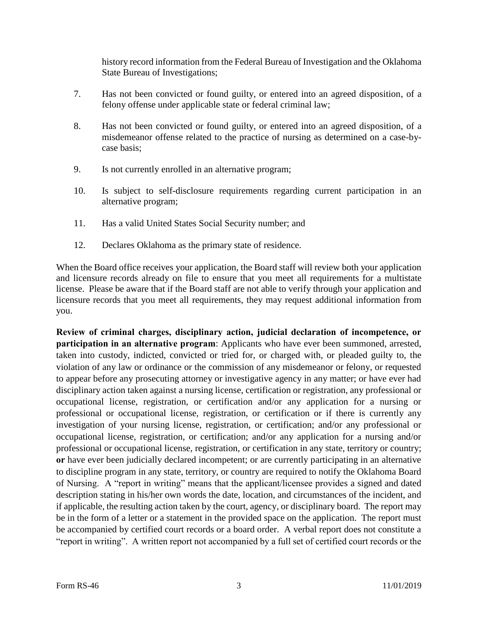history record information from the Federal Bureau of Investigation and the Oklahoma State Bureau of Investigations;

- 7. Has not been convicted or found guilty, or entered into an agreed disposition, of a felony offense under applicable state or federal criminal law;
- 8. Has not been convicted or found guilty, or entered into an agreed disposition, of a misdemeanor offense related to the practice of nursing as determined on a case-bycase basis;
- 9. Is not currently enrolled in an alternative program;
- 10. Is subject to self-disclosure requirements regarding current participation in an alternative program;
- 11. Has a valid United States Social Security number; and
- 12. Declares Oklahoma as the primary state of residence.

When the Board office receives your application, the Board staff will review both your application and licensure records already on file to ensure that you meet all requirements for a multistate license. Please be aware that if the Board staff are not able to verify through your application and licensure records that you meet all requirements, they may request additional information from you.

**Review of criminal charges, disciplinary action, judicial declaration of incompetence, or participation in an alternative program**: Applicants who have ever been summoned, arrested, taken into custody, indicted, convicted or tried for, or charged with, or pleaded guilty to, the violation of any law or ordinance or the commission of any misdemeanor or felony, or requested to appear before any prosecuting attorney or investigative agency in any matter; or have ever had disciplinary action taken against a nursing license, certification or registration, any professional or occupational license, registration, or certification and/or any application for a nursing or professional or occupational license, registration, or certification or if there is currently any investigation of your nursing license, registration, or certification; and/or any professional or occupational license, registration, or certification; and/or any application for a nursing and/or professional or occupational license, registration, or certification in any state, territory or country; **or** have ever been judicially declared incompetent; or are currently participating in an alternative to discipline program in any state, territory, or country are required to notify the Oklahoma Board of Nursing. A "report in writing" means that the applicant/licensee provides a signed and dated description stating in his/her own words the date, location, and circumstances of the incident, and if applicable, the resulting action taken by the court, agency, or disciplinary board. The report may be in the form of a letter or a statement in the provided space on the application. The report must be accompanied by certified court records or a board order. A verbal report does not constitute a "report in writing". A written report not accompanied by a full set of certified court records or the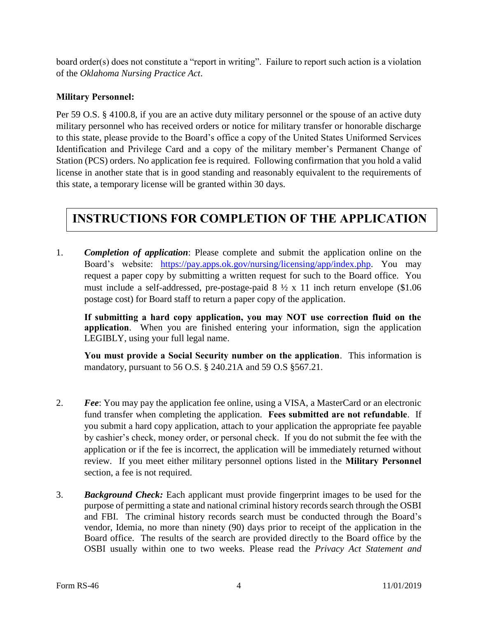board order(s) does not constitute a "report in writing". Failure to report such action is a violation of the *Oklahoma Nursing Practice Act*.

## **Military Personnel:**

Per 59 O.S. § 4100.8, if you are an active duty military personnel or the spouse of an active duty military personnel who has received orders or notice for military transfer or honorable discharge to this state, please provide to the Board's office a copy of the United States Uniformed Services Identification and Privilege Card and a copy of the military member's Permanent Change of Station (PCS) orders. No application fee is required. Following confirmation that you hold a valid license in another state that is in good standing and reasonably equivalent to the requirements of this state, a temporary license will be granted within 30 days.

## **INSTRUCTIONS FOR COMPLETION OF THE APPLICATION**

1. *Completion of application*: Please complete and submit the application online on the Board's website: [https://pay.apps.ok.gov/nursing/licensing/app/index.php.](https://pay.apps.ok.gov/nursing/licensing/app/index.php) You may request a paper copy by submitting a written request for such to the Board office. You must include a self-addressed, pre-postage-paid  $8\frac{1}{2} \times 11$  inch return envelope (\$1.06) postage cost) for Board staff to return a paper copy of the application.

**If submitting a hard copy application, you may NOT use correction fluid on the application**. When you are finished entering your information, sign the application LEGIBLY, using your full legal name.

**You must provide a Social Security number on the application**. This information is mandatory, pursuant to 56 O.S. § 240.21A and 59 O.S §567.21.

- 2. *Fee*: You may pay the application fee online, using a VISA, a MasterCard or an electronic fund transfer when completing the application. **Fees submitted are not refundable**. If you submit a hard copy application, attach to your application the appropriate fee payable by cashier's check, money order, or personal check. If you do not submit the fee with the application or if the fee is incorrect, the application will be immediately returned without review. If you meet either military personnel options listed in the **Military Personnel** section, a fee is not required.
- 3. *Background Check:* Each applicant must provide fingerprint images to be used for the purpose of permitting a state and national criminal history records search through the OSBI and FBI. The criminal history records search must be conducted through the Board's vendor, Idemia, no more than ninety (90) days prior to receipt of the application in the Board office. The results of the search are provided directly to the Board office by the OSBI usually within one to two weeks. Please read the *Privacy Act Statement and*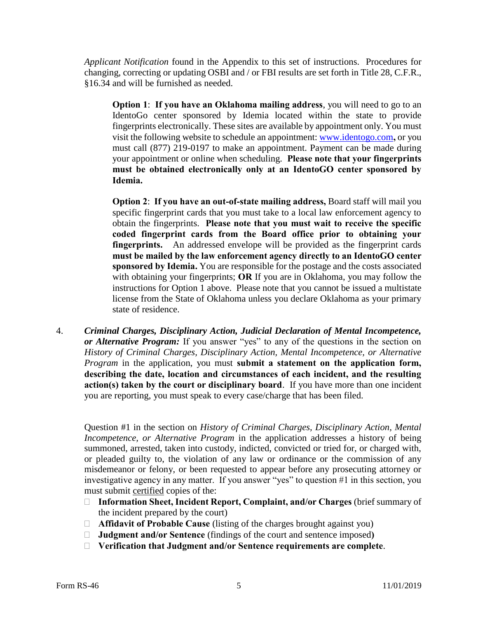*Applicant Notification* found in the Appendix to this set of instructions. Procedures for changing, correcting or updating OSBI and / or FBI results are set forth in Title 28, C.F.R., §16.34 and will be furnished as needed.

**Option 1**: **If you have an Oklahoma mailing address**, you will need to go to an IdentoGo center sponsored by Idemia located within the state to provide fingerprints electronically. These sites are available by appointment only. You must visit the following website to schedule an appointment: [www.identogo.com](http://www.identogo.com/)**,** or you must call (877) 219-0197 to make an appointment. Payment can be made during your appointment or online when scheduling. **Please note that your fingerprints must be obtained electronically only at an IdentoGO center sponsored by Idemia.**

**Option 2**: **If you have an out-of-state mailing address,** Board staff will mail you specific fingerprint cards that you must take to a local law enforcement agency to obtain the fingerprints. **Please note that you must wait to receive the specific coded fingerprint cards from the Board office prior to obtaining your fingerprints.** An addressed envelope will be provided as the fingerprint cards **must be mailed by the law enforcement agency directly to an IdentoGO center sponsored by Idemia.** You are responsible for the postage and the costs associated with obtaining your fingerprints; **OR** If you are in Oklahoma, you may follow the instructions for Option 1 above. Please note that you cannot be issued a multistate license from the State of Oklahoma unless you declare Oklahoma as your primary state of residence.

4. *Criminal Charges, Disciplinary Action, Judicial Declaration of Mental Incompetence, or Alternative Program:* If you answer "yes" to any of the questions in the section on *History of Criminal Charges, Disciplinary Action, Mental Incompetence, or Alternative Program* in the application, you must **submit a statement on the application form, describing the date, location and circumstances of each incident, and the resulting action(s) taken by the court or disciplinary board**. If you have more than one incident you are reporting, you must speak to every case/charge that has been filed.

Question #1 in the section on *History of Criminal Charges, Disciplinary Action, Mental Incompetence, or Alternative Program* in the application addresses a history of being summoned, arrested, taken into custody, indicted, convicted or tried for, or charged with, or pleaded guilty to, the violation of any law or ordinance or the commission of any misdemeanor or felony, or been requested to appear before any prosecuting attorney or investigative agency in any matter. If you answer "yes" to question #1 in this section, you must submit certified copies of the:

- **Information Sheet, Incident Report, Complaint, and/or Charges** (brief summary of the incident prepared by the court)
- **Affidavit of Probable Cause** (listing of the charges brought against you)
- **Judgment and/or Sentence** (findings of the court and sentence imposed**)**
- **Verification that Judgment and/or Sentence requirements are complete**.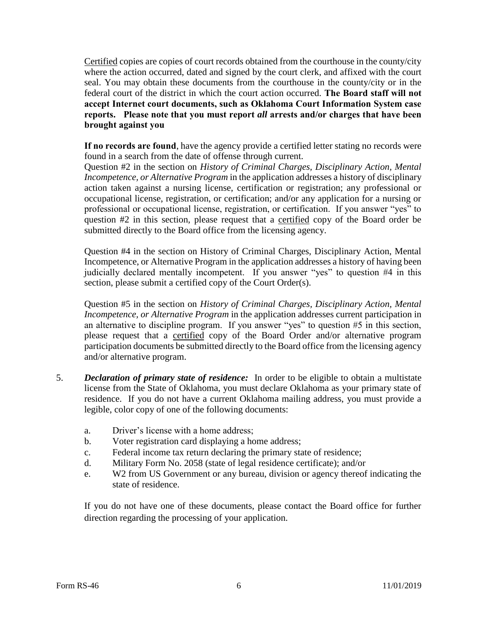Certified copies are copies of court records obtained from the courthouse in the county/city where the action occurred, dated and signed by the court clerk, and affixed with the court seal. You may obtain these documents from the courthouse in the county/city or in the federal court of the district in which the court action occurred. **The Board staff will not accept Internet court documents, such as Oklahoma Court Information System case reports. Please note that you must report** *all* **arrests and/or charges that have been brought against you**

**If no records are found**, have the agency provide a certified letter stating no records were found in a search from the date of offense through current.

Question #2 in the section on *History of Criminal Charges, Disciplinary Action, Mental Incompetence, or Alternative Program* in the application addresses a history of disciplinary action taken against a nursing license, certification or registration; any professional or occupational license, registration, or certification; and/or any application for a nursing or professional or occupational license, registration, or certification. If you answer "yes" to question #2 in this section, please request that a certified copy of the Board order be submitted directly to the Board office from the licensing agency.

Question #4 in the section on History of Criminal Charges, Disciplinary Action, Mental Incompetence, or Alternative Program in the application addresses a history of having been judicially declared mentally incompetent. If you answer "yes" to question #4 in this section, please submit a certified copy of the Court Order(s).

Question #5 in the section on *History of Criminal Charges, Disciplinary Action, Mental Incompetence, or Alternative Program* in the application addresses current participation in an alternative to discipline program. If you answer "yes" to question #5 in this section, please request that a certified copy of the Board Order and/or alternative program participation documents be submitted directly to the Board office from the licensing agency and/or alternative program.

- 5. *Declaration of primary state of residence:* In order to be eligible to obtain a multistate license from the State of Oklahoma, you must declare Oklahoma as your primary state of residence. If you do not have a current Oklahoma mailing address, you must provide a legible, color copy of one of the following documents:
	- a. Driver's license with a home address;
	- b. Voter registration card displaying a home address;
	- c. Federal income tax return declaring the primary state of residence;
	- d. Military Form No. 2058 (state of legal residence certificate); and/or
	- e. W2 from US Government or any bureau, division or agency thereof indicating the state of residence.

If you do not have one of these documents, please contact the Board office for further direction regarding the processing of your application.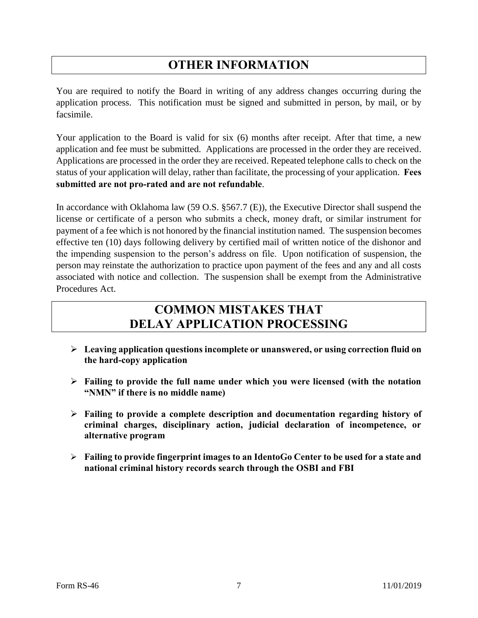# **OTHER INFORMATION**

You are required to notify the Board in writing of any address changes occurring during the application process. This notification must be signed and submitted in person, by mail, or by facsimile.

Your application to the Board is valid for six (6) months after receipt. After that time, a new application and fee must be submitted. Applications are processed in the order they are received. Applications are processed in the order they are received. Repeated telephone calls to check on the status of your application will delay, rather than facilitate, the processing of your application. **Fees submitted are not pro-rated and are not refundable**.

In accordance with Oklahoma law (59 O.S. §567.7 (E)), the Executive Director shall suspend the license or certificate of a person who submits a check, money draft, or similar instrument for payment of a fee which is not honored by the financial institution named. The suspension becomes effective ten (10) days following delivery by certified mail of written notice of the dishonor and the impending suspension to the person's address on file. Upon notification of suspension, the person may reinstate the authorization to practice upon payment of the fees and any and all costs associated with notice and collection. The suspension shall be exempt from the Administrative Procedures Act.

# **COMMON MISTAKES THAT DELAY APPLICATION PROCESSING**

- **Leaving application questions incomplete or unanswered, or using correction fluid on the hard-copy application**
- **Failing to provide the full name under which you were licensed (with the notation "NMN" if there is no middle name)**
- **Failing to provide a complete description and documentation regarding history of criminal charges, disciplinary action, judicial declaration of incompetence, or alternative program**
- **Failing to provide fingerprint images to an IdentoGo Center to be used for a state and national criminal history records search through the OSBI and FBI**